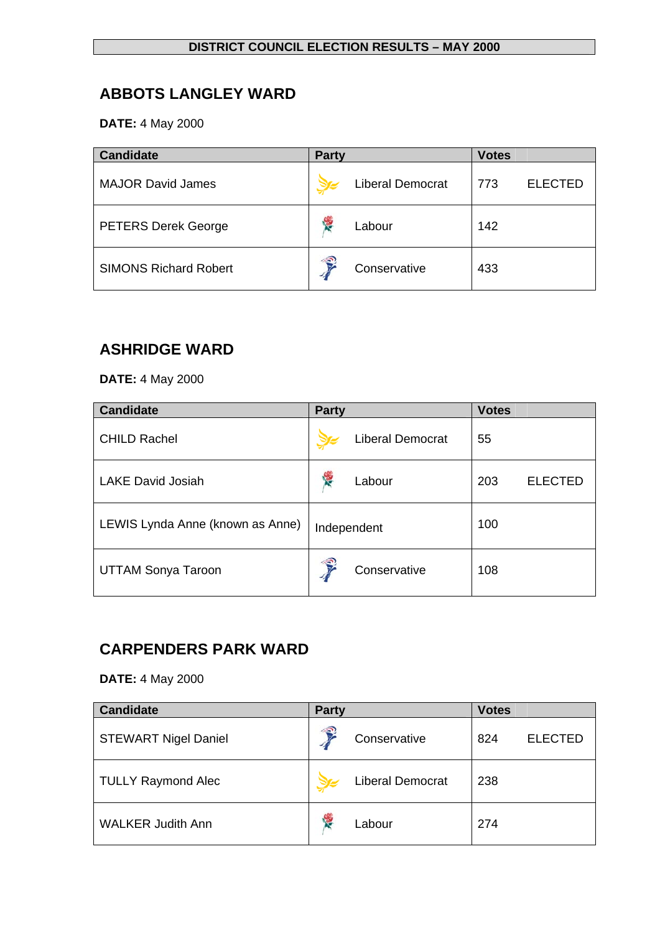# **ABBOTS LANGLEY WARD**

**DATE:** 4 May 2000

| <b>Candidate</b>             | <b>Party</b>            | <b>Votes</b>          |
|------------------------------|-------------------------|-----------------------|
| <b>MAJOR David James</b>     | <b>Liberal Democrat</b> | <b>ELECTED</b><br>773 |
| <b>PETERS Derek George</b>   | 怪<br>Labour             | 142                   |
| <b>SIMONS Richard Robert</b> | €<br>Conservative       | 433                   |

### **ASHRIDGE WARD**

**DATE:** 4 May 2000

| <b>Candidate</b>                 | <b>Party</b>            | <b>Votes</b>          |
|----------------------------------|-------------------------|-----------------------|
| <b>CHILD Rachel</b>              | <b>Liberal Democrat</b> | 55                    |
| <b>LAKE David Josiah</b>         | 侵<br>Labour             | 203<br><b>ELECTED</b> |
| LEWIS Lynda Anne (known as Anne) | Independent             | 100                   |
| <b>UTTAM Sonya Taroon</b>        | €<br>Conservative       | 108                   |

## **CARPENDERS PARK WARD**

| <b>Candidate</b>            | <b>Party</b> |                         | <b>Votes</b> |                |
|-----------------------------|--------------|-------------------------|--------------|----------------|
| <b>STEWART Nigel Daniel</b> | €            | Conservative            | 824          | <b>ELECTED</b> |
| <b>TULLY Raymond Alec</b>   |              | <b>Liberal Democrat</b> | 238          |                |
| <b>WALKER Judith Ann</b>    | Y.           | Labour                  | 274          |                |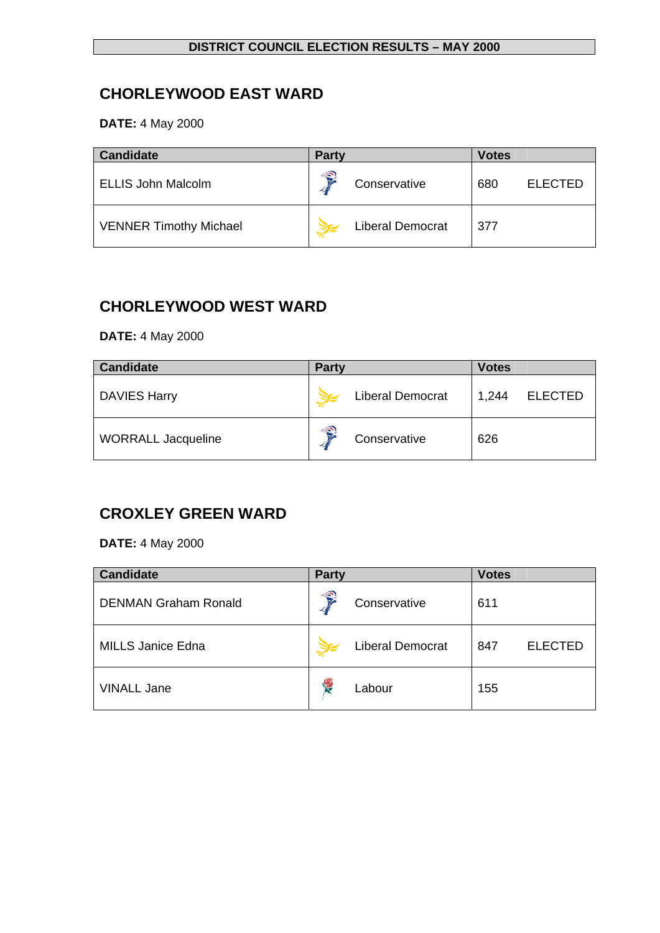# **CHORLEYWOOD EAST WARD**

**DATE:** 4 May 2000

| <b>Candidate</b>              | <b>Party</b> |                         | <b>Votes</b> |                |
|-------------------------------|--------------|-------------------------|--------------|----------------|
| <b>ELLIS John Malcolm</b>     | ∕€           | Conservative            | 680          | <b>ELECTED</b> |
| <b>VENNER Timothy Michael</b> |              | <b>Liberal Democrat</b> | 377          |                |

## **CHORLEYWOOD WEST WARD**

**DATE:** 4 May 2000

| <b>Candidate</b>          | <b>Party</b> |                         | <b>Votes</b> |                |
|---------------------------|--------------|-------------------------|--------------|----------------|
| <b>DAVIES Harry</b>       |              | <b>Liberal Democrat</b> | 1,244        | <b>ELECTED</b> |
| <b>WORRALL Jacqueline</b> | €            | Conservative            | 626          |                |

# **CROXLEY GREEN WARD**

| <b>Candidate</b>            | <b>Party</b> |                         | <b>Votes</b> |                |
|-----------------------------|--------------|-------------------------|--------------|----------------|
| <b>DENMAN Graham Ronald</b> | €            | Conservative            | 611          |                |
| <b>MILLS Janice Edna</b>    |              | <b>Liberal Democrat</b> | 847          | <b>ELECTED</b> |
| <b>VINALL Jane</b>          | <b>RE</b>    | Labour                  | 155          |                |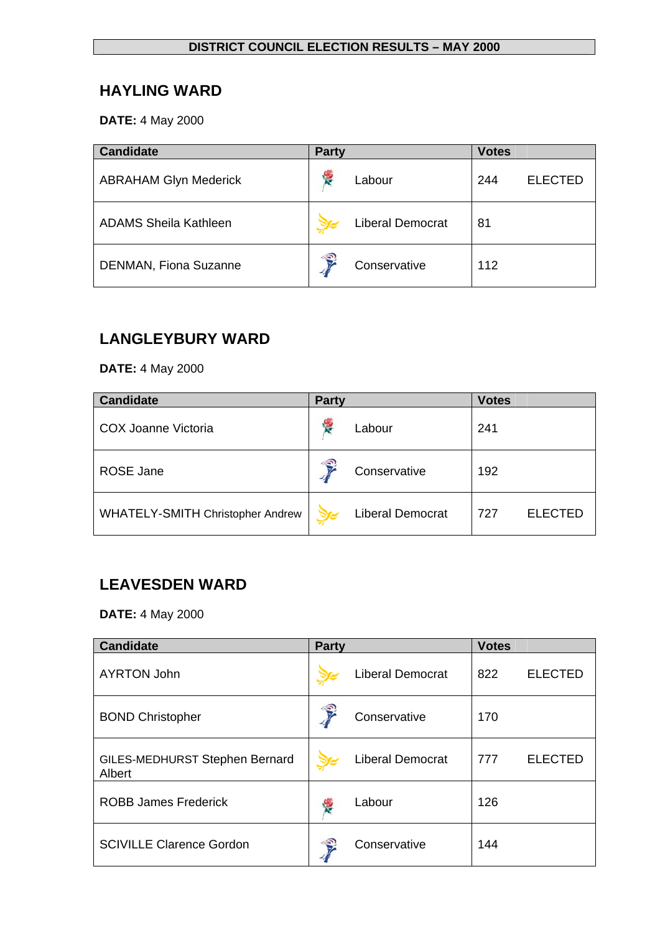## **HAYLING WARD**

**DATE:** 4 May 2000

| <b>Candidate</b>             | <b>Party</b>     |                         | <b>Votes</b> |                |
|------------------------------|------------------|-------------------------|--------------|----------------|
| <b>ABRAHAM Glyn Mederick</b> | <b>September</b> | Labour                  | 244          | <b>ELECTED</b> |
| <b>ADAMS Sheila Kathleen</b> |                  | <b>Liberal Democrat</b> | 81           |                |
| <b>DENMAN, Fiona Suzanne</b> | €                | Conservative            | 112          |                |

# **LANGLEYBURY WARD**

**DATE:** 4 May 2000

| <b>Candidate</b>                        | <b>Party</b> |                         | <b>Votes</b> |                |
|-----------------------------------------|--------------|-------------------------|--------------|----------------|
| COX Joanne Victoria                     | 怪            | Labour                  | 241          |                |
| <b>ROSE Jane</b>                        | €            | Conservative            | 192          |                |
| <b>WHATELY-SMITH Christopher Andrew</b> |              | <b>Liberal Democrat</b> | 727          | <b>ELECTED</b> |

# **LEAVESDEN WARD**

| <b>Candidate</b>                         | <b>Party</b> |                         | <b>Votes</b> |                |
|------------------------------------------|--------------|-------------------------|--------------|----------------|
| <b>AYRTON John</b>                       |              | <b>Liberal Democrat</b> | 822          | <b>ELECTED</b> |
| <b>BOND Christopher</b>                  |              | Conservative            | 170          |                |
| GILES-MEDHURST Stephen Bernard<br>Albert |              | <b>Liberal Democrat</b> | 777          | <b>ELECTED</b> |
| <b>ROBB James Frederick</b>              | <b>RE</b>    | Labour                  | 126          |                |
| <b>SCIVILLE Clarence Gordon</b>          |              | Conservative            | 144          |                |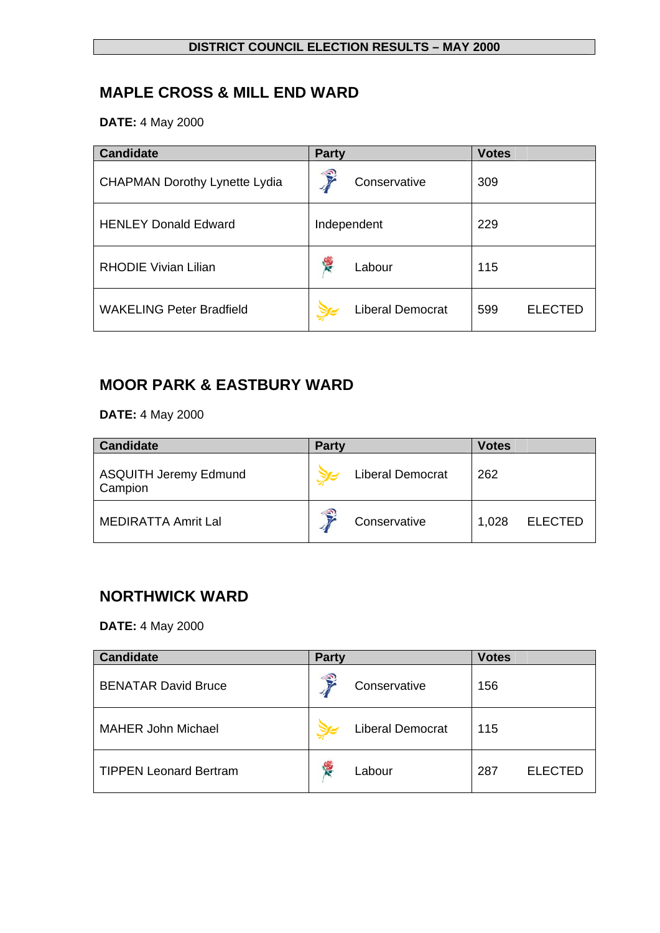# **MAPLE CROSS & MILL END WARD**

**DATE:** 4 May 2000

| <b>Candidate</b>                     | <b>Party</b>            | <b>Votes</b>          |
|--------------------------------------|-------------------------|-----------------------|
| <b>CHAPMAN Dorothy Lynette Lydia</b> | €<br>Conservative       | 309                   |
| <b>HENLEY Donald Edward</b>          | Independent             | 229                   |
| <b>RHODIE Vivian Lilian</b>          | 樱<br>Labour             | 115                   |
| <b>WAKELING Peter Bradfield</b>      | <b>Liberal Democrat</b> | 599<br><b>ELECTED</b> |

# **MOOR PARK & EASTBURY WARD**

**DATE:** 4 May 2000

| <b>Candidate</b>                        | <b>Party</b>       |                         | <b>Votes</b> |                |
|-----------------------------------------|--------------------|-------------------------|--------------|----------------|
| <b>ASQUITH Jeremy Edmund</b><br>Campion |                    | <b>Liberal Democrat</b> | 262          |                |
| <b>MEDIRATTA Amrit Lal</b>              | $\hat{\mathbf{S}}$ | Conservative            | 1,028        | <b>ELECTED</b> |

## **NORTHWICK WARD**

| <b>Candidate</b>              | <b>Party</b>            | <b>Votes</b>          |
|-------------------------------|-------------------------|-----------------------|
| <b>BENATAR David Bruce</b>    | €<br>Conservative       | 156                   |
| <b>MAHER John Michael</b>     | <b>Liberal Democrat</b> | 115                   |
| <b>TIPPEN Leonard Bertram</b> | Labour                  | <b>ELECTED</b><br>287 |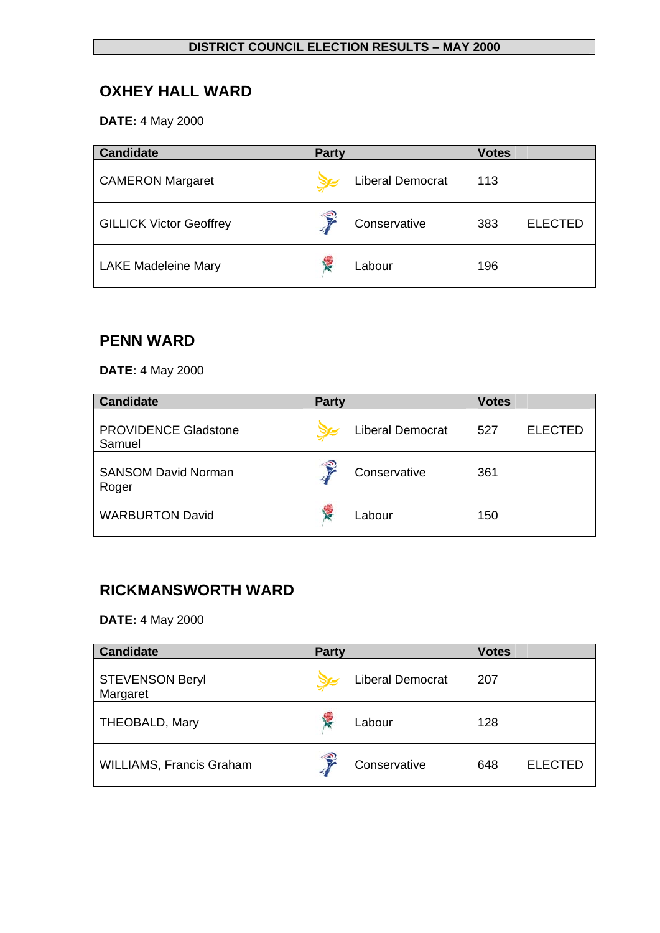# **OXHEY HALL WARD**

**DATE:** 4 May 2000

| <b>Candidate</b>               | <b>Party</b> |                         | <b>Votes</b> |                |
|--------------------------------|--------------|-------------------------|--------------|----------------|
| <b>CAMERON Margaret</b>        |              | <b>Liberal Democrat</b> | 113          |                |
| <b>GILLICK Victor Geoffrey</b> | 号            | Conservative            | 383          | <b>ELECTED</b> |
| <b>LAKE Madeleine Mary</b>     | Y.           | Labour                  | 196          |                |

### **PENN WARD**

**DATE:** 4 May 2000

| <b>Candidate</b>                      | <b>Party</b>            | <b>Votes</b>          |
|---------------------------------------|-------------------------|-----------------------|
| <b>PROVIDENCE Gladstone</b><br>Samuel | <b>Liberal Democrat</b> | <b>ELECTED</b><br>527 |
| <b>SANSOM David Norman</b><br>Roger   | €<br>Conservative       | 361                   |
| <b>WARBURTON David</b>                | <b>RE</b><br>Labour     | 150                   |

## **RICKMANSWORTH WARD**

| <b>Candidate</b>                   | <b>Party</b>            | <b>Votes</b>          |
|------------------------------------|-------------------------|-----------------------|
| <b>STEVENSON Beryl</b><br>Margaret | <b>Liberal Democrat</b> | 207                   |
| THEOBALD, Mary                     | ٠,<br>Labour            | 128                   |
| <b>WILLIAMS, Francis Graham</b>    | €<br>Conservative       | <b>ELECTED</b><br>648 |